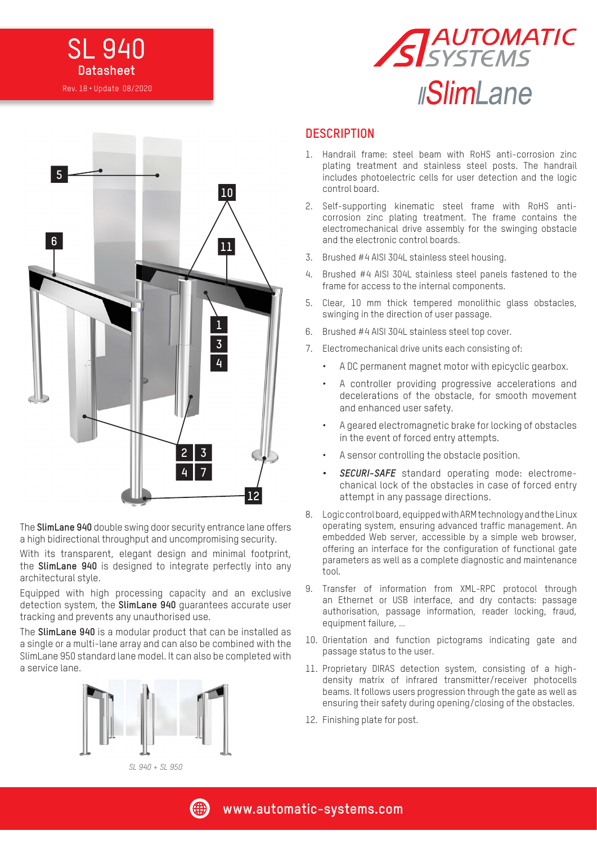





The **SlimLane 940** double swing door security entrance lane offers a high bidirectional throughput and uncompromising security.

With its transparent, elegant design and minimal footprint, the **SlimLane 940** is designed to integrate perfectly into any architectural style.

Equipped with high processing capacity and an exclusive detection system, the **SlimLane 940** guarantees accurate user tracking and prevents any unauthorised use.

The **SlimLane 940** is a modular product that can be installed as a single or a multi-lane array and can also be combined with the SlimLane 950 standard lane model. It can also be completed with a service lane.



*SL 940 + SL 950*

#### **DESCRIPTION**

- 1. Handrail frame: steel beam with RoHS anti-corrosion zinc plating treatment and stainless steel posts. The handrail includes photoelectric cells for user detection and the logic control board.
- 2. Self-supporting kinematic steel frame with RoHS anticorrosion zinc plating treatment. The frame contains the electromechanical drive assembly for the swinging obstacle and the electronic control boards.
- 3. Brushed #4 AISI 304L stainless steel housing.
- 4. Brushed #4 AISI 304L stainless steel panels fastened to the frame for access to the internal components.
- 5. Clear, 10 mm thick tempered monolithic glass obstacles, swinging in the direction of user passage.
- 6. Brushed #4 AISI 304L stainless steel top cover.
- 7. Electromechanical drive units each consisting of:
	- A DC permanent magnet motor with epicyclic gearbox.
	- A controller providing progressive accelerations and decelerations of the obstacle, for smooth movement and enhanced user safety.
	- A geared electromagnetic brake for locking of obstacles in the event of forced entry attempts.
	- A sensor controlling the obstacle position.
	- *• SECURI-SAFE* standard operating mode: electromechanical lock of the obstacles in case of forced entry attempt in any passage directions.
- 8. Logic control board, equipped with ARM technology and the Linux operating system, ensuring advanced traffic management. An embedded Web server, accessible by a simple web browser, offering an interface for the configuration of functional gate parameters as well as a complete diagnostic and maintenance tool.
- 9. Transfer of information from XML-RPC protocol through an Ethernet or USB interface, and dry contacts: passage authorisation, passage information, reader locking, fraud, equipment failure, …
- 10. Orientation and function pictograms indicating gate and passage status to the user.
- 11. Proprietary DIRAS detection system, consisting of a highdensity matrix of infrared transmitter/receiver photocells beams. It follows users progression through the gate as well as ensuring their safety during opening/closing of the obstacles.
- 12. Finishing plate for post.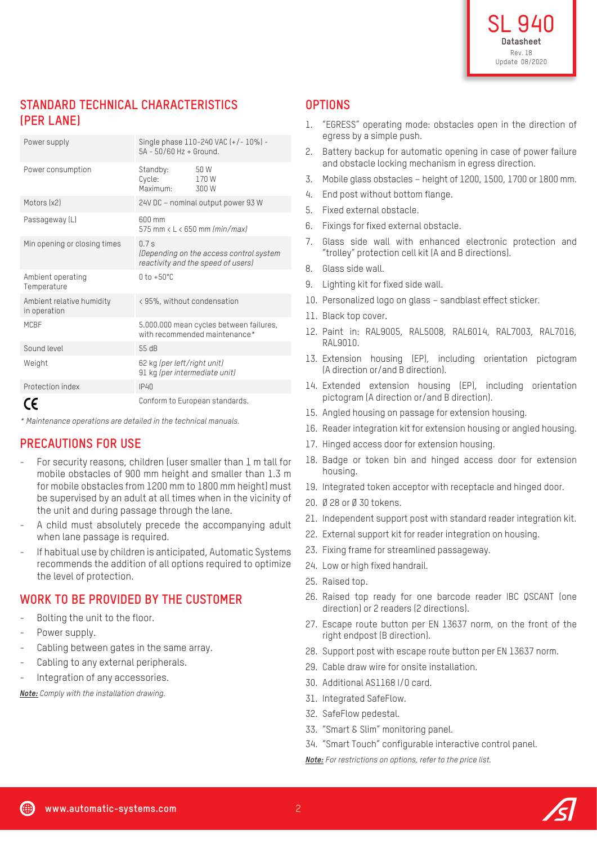# **STANDARD TECHNICAL CHARACTERISTICS (PER LANE)**

| Power supply                              | Single phase 110-240 VAC (+/-10%) -<br>$5A - 50/60 Hz + Ground.$                     |                       |
|-------------------------------------------|--------------------------------------------------------------------------------------|-----------------------|
| Power consumption                         | Standby:<br>Cycle:<br>Maximum <sup>.</sup>                                           | 50 W<br>170W<br>300 W |
| Motors (x2)                               | 24V DC - nominal output power 93 W                                                   |                       |
| Passageway (L)                            | $600 \text{ mm}$<br>575 mm $\lt$ L $\lt$ 650 mm (min/max)                            |                       |
| Min opening or closing times              | 07s<br>(Depending on the access control system<br>reactivity and the speed of users) |                       |
| Ambient operating<br>Temperature          | $0 \text{ to } +50^{\circ}$ C                                                        |                       |
| Ambient relative humidity<br>in operation | <95%, without condensation                                                           |                       |
| <b>MCBF</b>                               | 5.000.000 mean cycles between failures,<br>with recommended maintenance*             |                       |
| Sound level                               | 55 dB                                                                                |                       |
| Weight                                    | 62 kg (per left/right unit)<br>91 kg (per intermediate unit)                         |                       |
| Protection index                          | IP40                                                                                 |                       |
|                                           | Conform to European standards.                                                       |                       |

*\* Maintenance operations are detailed in the technical manuals.*

## **PRECAUTIONS FOR USE**

- For security reasons, children (user smaller than 1 m tall for mobile obstacles of 900 mm height and smaller than 1.3 m for mobile obstacles from 1200 mm to 1800 mm height) must be supervised by an adult at all times when in the vicinity of the unit and during passage through the lane.
- A child must absolutely precede the accompanying adult when lane passage is required.
- If habitual use by children is anticipated, Automatic Systems recommends the addition of all options required to optimize the level of protection.

## **WORK TO BE PROVIDED BY THE CUSTOMER**

- Bolting the unit to the floor.
- Power supply.
- Cabling between gates in the same array.
- Cabling to any external peripherals.
- Integration of any accessories.

*Note: Comply with the installation drawing.*

### **OPTIONS**

- 1. "EGRESS" operating mode: obstacles open in the direction of egress by a simple push.
- 2. Battery backup for automatic opening in case of power failure and obstacle locking mechanism in egress direction.
- 3. Mobile glass obstacles height of 1200, 1500, 1700 or 1800 mm.
- 4. End post without bottom flange.
- 5. Fixed external obstacle.
- 6. Fixings for fixed external obstacle.
- 7. Glass side wall with enhanced electronic protection and "trolley" protection cell kit (A and B directions).
- 8. Glass side wall.
- 9. Lighting kit for fixed side wall.
- 10. Personalized logo on glass sandblast effect sticker.
- 11. Black top cover.
- 12. Paint in: RAL9005, RAL5008, RAL6014, RAL7003, RAL7016, RAL9010.
- 13. Extension housing (EP), including orientation pictogram (A direction or/and B direction).
- 14. Extended extension housing (EP), including orientation pictogram (A direction or/and B direction).
- 15. Angled housing on passage for extension housing.
- 16. Reader integration kit for extension housing or angled housing.
- 17. Hinged access door for extension housing.
- 18. Badge or token bin and hinged access door for extension housing.
- 19. Integrated token acceptor with receptacle and hinged door.
- 20. Ø 28 or Ø 30 tokens.
- 21. Independent support post with standard reader integration kit.
- 22. External support kit for reader integration on housing.
- 23. Fixing frame for streamlined passageway.
- 24. Low or high fixed handrail.
- 25. Raised top.
- 26. Raised top ready for one barcode reader IBC QSCANT (one direction) or 2 readers (2 directions).
- 27. Escape route button per EN 13637 norm, on the front of the right endpost (B direction).
- 28. Support post with escape route button per EN 13637 norm.
- 29. Cable draw wire for onsite installation.
- 30. Additional AS1168 I/O card.
- 31. Integrated SafeFlow.
- 32. SafeFlow pedestal.
- 33. "Smart & Slim" monitoring panel.
- 34. "Smart Touch" configurable interactive control panel.

*Note: For restrictions on options, refer to the price list.*